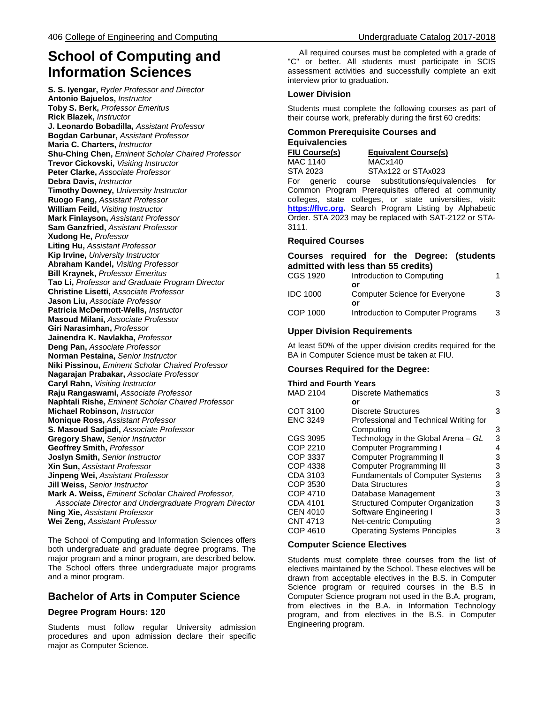# **School of Computing and Information Sciences**

**S. S. Iyengar,** *Ryder Professor and Director* **Antonio Bajuelos,** *Instructor* **Toby S. Berk,** *Professor Emeritus* **Rick Blazek,** *Instructor* **J. Leonardo Bobadilla,** *Assistant Professor* **Bogdan Carbunar,** *Assistant Professor* **Maria C. Charters,** *Instructor* **Shu-Ching Chen,** *Eminent Scholar Chaired Professor* **Trevor Cickovski,** *Visiting Instructor* **Peter Clarke,** *Associate Professor* **Debra Davis,** *Instructor* **Timothy Downey,** *University Instructor* **Ruogo Fang,** *Assistant Professor* **William Feild,** *Visiting Instructor* **Mark Finlayson,** *Assistant Professor* **Sam Ganzfried,** *Assistant Professor* **Xudong He,** *Professor* **Liting Hu,** *Assistant Professor* **Kip Irvine,** *University Instructor* **Abraham Kandel,** *Visiting Professor* **Bill Kraynek,** *Professor Emeritus* **Tao Li,** *Professor and Graduate Program Director* **Christine Lisetti,** *Associate Professor* **Jason Liu,** *Associate Professor* **Patricia McDermott-Wells,** *Instructor* **Masoud Milani,** *Associate Professor* **Giri Narasimhan,** *Professor* **Jainendra K. Navlakha,** *Professor* **Deng Pan,** *Associate Professor* **Norman Pestaina,** *Senior Instructor* **Niki Pissinou,** *Eminent Scholar Chaired Professor* **Nagarajan Prabakar,** *Associate Professor* **Caryl Rahn,** *Visiting Instructor* **Raju Rangaswami,** *Associate Professor* **Naphtali Rishe,** *Eminent Scholar Chaired Professor* **Michael Robinson,** *Instructor* **Monique Ross,** *Assistant Professor* **S. Masoud Sadjadi,** *Associate Professor* **Gregory Shaw,** *Senior Instructor* **Geoffrey Smith,** *Professor* **Joslyn Smith,** *Senior Instructor* **Xin Sun,** *Assistant Professor* **Jinpeng Wei,** *Assistant Professor* **Jill Weiss,** *Senior Instructor* **Mark A. Weiss,** *Eminent Scholar Chaired Professor, Associate Director and Undergraduate Program Director* **Ning Xie,** *Assistant Professor* **Wei Zeng,** *Assistant Professor*

The School of Computing and Information Sciences offers both undergraduate and graduate degree programs. The major program and a minor program, are described below. The School offers three undergraduate major programs and a minor program.

# **Bachelor of Arts in Computer Science**

# **Degree Program Hours: 120**

Students must follow regular University admission procedures and upon admission declare their specific major as Computer Science.

 All required courses must be completed with a grade of "C" or better. All students must participate in SCIS assessment activities and successfully complete an exit interview prior to graduation.

# **Lower Division**

Students must complete the following courses as part of their course work, preferably during the first 60 credits:

# **Common Prerequisite Courses and Equivalencies**

**FIU Course(s)** MAC 1140

STA 2023

**Equivalent Course(s)** MACx140

STAx122 or STAx023

For generic course substitutions/equivalencies for Common Program Prerequisites offered at community colleges, state colleges, or state universities, visit: **[https://flvc.org.](https://dlss.flvc.org/admin-tools/common-prerequisites-manuals/2016-2017-manual)** Search Program Listing by Alphabetic Order. STA 2023 may be replaced with SAT-2122 or STA-3111.

# **Required Courses**

# **Courses required for the Degree: (students admitted with less than 55 credits)**

| CGS 1920 | Introduction to Computing            |   |
|----------|--------------------------------------|---|
|          | or                                   |   |
| IDC 1000 | <b>Computer Science for Everyone</b> | 3 |
|          | or                                   |   |
| COP 1000 | Introduction to Computer Programs    | 3 |
|          |                                      |   |

# **Upper Division Requirements**

At least 50% of the upper division credits required for the BA in Computer Science must be taken at FIU.

# **Courses Required for the Degree:**

#### **Third and Fourth Years**

| <b>MAD 2104</b> | Discrete Mathematics                    | 3 |
|-----------------|-----------------------------------------|---|
|                 | or                                      |   |
| COT 3100        | Discrete Structures                     | 3 |
| <b>ENC 3249</b> | Professional and Technical Writing for  |   |
|                 | Computing                               | 3 |
| CGS 3095        | Technology in the Global Arena – GL     | 3 |
| COP 2210        | Computer Programming I                  | 4 |
| COP 3337        | <b>Computer Programming II</b>          | 3 |
| <b>COP 4338</b> | <b>Computer Programming III</b>         | 3 |
| CDA 3103        | <b>Fundamentals of Computer Systems</b> | 3 |
| COP 3530        | Data Structures                         | 3 |
| COP 4710        | Database Management                     | 3 |
| CDA 4101        | <b>Structured Computer Organization</b> | 3 |
| <b>CEN 4010</b> | Software Engineering I                  | 3 |
| <b>CNT 4713</b> | Net-centric Computing                   | 3 |
| COP 4610        | <b>Operating Systems Principles</b>     | 3 |

# **Computer Science Electives**

Students must complete three courses from the list of electives maintained by the School. These electives will be drawn from acceptable electives in the B.S. in Computer Science program or required courses in the B.S in Computer Science program not used in the B.A. program, from electives in the B.A. in Information Technology program, and from electives in the B.S. in Computer Engineering program.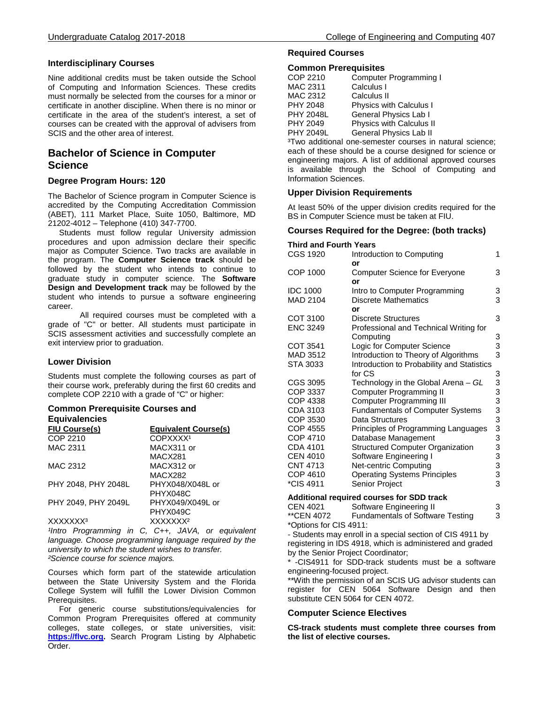# **Interdisciplinary Courses**

Nine additional credits must be taken outside the School of Computing and Information Sciences. These credits must normally be selected from the courses for a minor or certificate in another discipline. When there is no minor or certificate in the area of the student's interest, a set of courses can be created with the approval of advisers from SCIS and the other area of interest.

# **Bachelor of Science in Computer Science**

# **Degree Program Hours: 120**

The Bachelor of Science program in Computer Science is accredited by the Computing Accreditation Commission (ABET), 111 Market Place, Suite 1050, Baltimore, MD 21202-4012 – Telephone (410) 347-7700.

 Students must follow regular University admission procedures and upon admission declare their specific major as Computer Science. Two tracks are available in the program. The **Computer Science track** should be followed by the student who intends to continue to graduate study in computer science. The **Software Design and Development track** may be followed by the student who intends to pursue a software engineering career.

All required courses must be completed with a grade of "C" or better. All students must participate in SCIS assessment activities and successfully complete an exit interview prior to graduation.

# **Lower Division**

Students must complete the following courses as part of their course work, preferably during the first 60 credits and complete COP 2210 with a grade of "C" or higher:

#### **Common Prerequisite Courses and Equivalencies**

| <b>Equivalent Course(s)</b> |
|-----------------------------|
| COPXXXX <sup>1</sup>        |
| MACX311 or                  |
| MACX281                     |
| MACX312 or                  |
| MACX282                     |
| PHYX048/X048L or            |
| PHYX048C                    |
| PHYX049/X049L or            |
| PHYX049C                    |
| XXXXXXX <sup>2</sup>        |
|                             |

*Intro Programming in C, C++, JAVA, or equivalent language. Choose programming language required by the university to which the student wishes to transfer. ²Science course for science majors.*

Courses which form part of the statewide articulation between the State University System and the Florida College System will fulfill the Lower Division Common Prerequisites.

 For generic course substitutions/equivalencies for Common Program Prerequisites offered at community colleges, state colleges, or state universities, visit: **[https://flvc.org.](https://dlss.flvc.org/admin-tools/common-prerequisites-manuals/2016-2017-manual)** Search Program Listing by Alphabetic Order.

# **Required Courses**

# **Common Prerequisites**

| COP 2210         | Computer Programming I         |
|------------------|--------------------------------|
| MAC 2311         | Calculus I                     |
| MAC 2312         | Calculus II                    |
| <b>PHY 2048</b>  | <b>Physics with Calculus I</b> |
| <b>PHY 2048L</b> | General Physics Lab I          |
| PHY 2049         | Physics with Calculus II       |
| <b>PHY 2049L</b> | General Physics Lab II         |
|                  |                                |

<sup>3</sup>Two additional one-semester courses in natural science; each of these should be a course designed for science or engineering majors. A list of additional approved courses is available through the School of Computing and Information Sciences.

# **Upper Division Requirements**

At least 50% of the upper division credits required for the BS in Computer Science must be taken at FIU.

# **Courses Required for the Degree: (both tracks)**

#### **Third and Fourth Years** Introduction to Computing 1 **or** COP 1000 Computer Science for Everyone 3 **or** IDC 1000 Intro to Computer Programming 3<br>MAD 2104 Discrete Mathematics 3 Discrete Mathematics 3 **or** COT 3100 Discrete Structures<br>
ENC 3249 Professional and Technical Writing for Professional and Technical Writing for Computing 3<br>
Logic for Computer Science 3 COT 3541 Logic for Computer Science MAD 3512 Introduction to Theory of Algorithms 3 STA 3033 Introduction to Probability and Statistics<br>for CS for CS 3 CGS 3095 Technology in the Global Arena – *GL* 3 COP 3337 Computer Programming II 3 COP 4338 Computer Programming III 3 CDA 3103 Fundamentals of Computer Systems 3 COP 3530 Data Structures 3<br>COP 4555 Principles of Programming Languages 3 COP 4555 Principles of Programming Languages 3 Database Management CDA 4101 Structured Computer Organization 3 CEN 4010 Software Engineering I 3<br>CNT 4713 Net-centric Computing 3 CNT 4713 Met-centric Computing 3<br>COP 4610 Coperating Systems Principles 3 COP 4610 Coerating Systems Principles 3<br>
<del>COP</del> 4911 Senior Project 3 Senior Project **Additional required courses for SDD track** CEN 4021 Software Engineering II 3<br>\*\*CEN 4072 Fundamentals of Software Testing 3 **Fundamentals of Software Testing 3** \*Options for CIS 4911: - Students may enroll in a special section of CIS 4911 by

registering in IDS 4918, which is administered and graded by the Senior Project Coordinator;

-CIS4911 for SDD-track students must be a software engineering-focused project.

\*\*With the permission of an SCIS UG advisor students can register for CEN 5064 Software Design and then substitute CEN 5064 for CEN 4072.

## **Computer Science Electives**

**CS-track students must complete three courses from the list of elective courses.**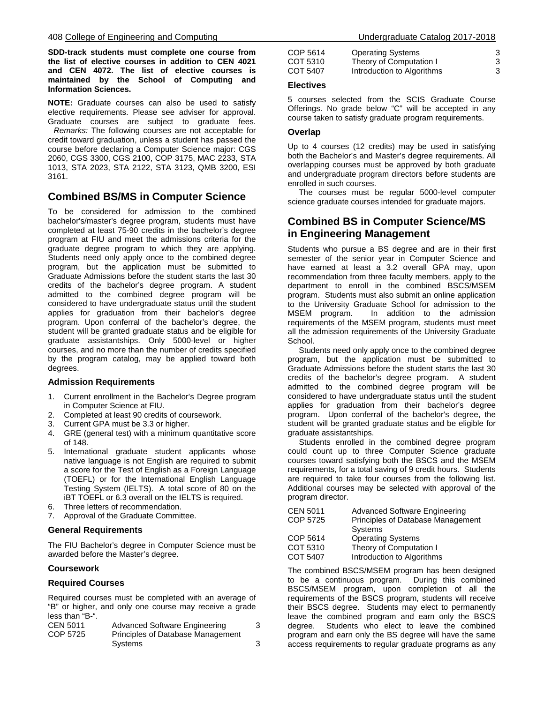**SDD-track students must complete one course from the list of elective courses in addition to CEN 4021 and CEN 4072. The list of elective courses is maintained by the School of Computing and Information Sciences.**

**NOTE:** Graduate courses can also be used to satisfy elective requirements. Please see adviser for approval. Graduate courses are subject to graduate fees.

*Remarks:* The following courses are not acceptable for credit toward graduation, unless a student has passed the course before declaring a Computer Science major: CGS 2060, CGS 3300, CGS 2100, COP 3175, MAC 2233, STA 1013, STA 2023, STA 2122, STA 3123, QMB 3200, ESI 3161.

# **Combined BS/MS in Computer Science**

To be considered for admission to the combined bachelor's/master's degree program, students must have completed at least 75-90 credits in the bachelor's degree program at FIU and meet the admissions criteria for the graduate degree program to which they are applying. Students need only apply once to the combined degree program, but the application must be submitted to Graduate Admissions before the student starts the last 30 credits of the bachelor's degree program. A student admitted to the combined degree program will be considered to have undergraduate status until the student applies for graduation from their bachelor's degree program. Upon conferral of the bachelor's degree, the student will be granted graduate status and be eligible for graduate assistantships. Only 5000-level or higher courses, and no more than the number of credits specified by the program catalog, may be applied toward both degrees.

## **Admission Requirements**

- 1. Current enrollment in the Bachelor's Degree program in Computer Science at FIU.
- 2. Completed at least 90 credits of coursework.
- 3. Current GPA must be 3.3 or higher.
- 4. GRE (general test) with a minimum quantitative score of 148.
- 5. International graduate student applicants whose native language is not English are required to submit a score for the Test of English as a Foreign Language (TOEFL) or for the International English Language Testing System (IELTS). A total score of 80 on the iBT TOEFL or 6.3 overall on the IELTS is required.
- 6. Three letters of recommendation.
- 7. Approval of the Graduate Committee.

## **General Requirements**

The FIU Bachelor's degree in Computer Science must be awarded before the Master's degree.

## **Coursework**

## **Required Courses**

Required courses must be completed with an average of "B" or higher, and only one course may receive a grade less than "B-".

| CEN 5011 | Advanced Software Engineering     |  |
|----------|-----------------------------------|--|
| COP 5725 | Principles of Database Management |  |
|          | Systems                           |  |

| COP 5614 | <b>Operating Systems</b>   |  |
|----------|----------------------------|--|
| COT 5310 | Theory of Computation I    |  |
| COT 5407 | Introduction to Algorithms |  |

## **Electives**

5 courses selected from the SCIS Graduate Course Offerings. No grade below "C" will be accepted in any course taken to satisfy graduate program requirements.

# **Overlap**

Up to 4 courses (12 credits) may be used in satisfying both the Bachelor's and Master's degree requirements. All overlapping courses must be approved by both graduate and undergraduate program directors before students are enrolled in such courses.

 The courses must be regular 5000-level computer science graduate courses intended for graduate majors.

# **Combined BS in Computer Science/MS in Engineering Management**

Students who pursue a BS degree and are in their first semester of the senior year in Computer Science and have earned at least a 3.2 overall GPA may, upon recommendation from three faculty members, apply to the department to enroll in the combined BSCS/MSEM program. Students must also submit an online application to the University Graduate School for admission to the MSEM program. In addition to the admission requirements of the MSEM program, students must meet all the admission requirements of the University Graduate School.

 Students need only apply once to the combined degree program, but the application must be submitted to Graduate Admissions before the student starts the last 30 credits of the bachelor's degree program. A student admitted to the combined degree program will be considered to have undergraduate status until the student applies for graduation from their bachelor's degree program. Upon conferral of the bachelor's degree, the student will be granted graduate status and be eligible for graduate assistantships.

 Students enrolled in the combined degree program could count up to three Computer Science graduate courses toward satisfying both the BSCS and the MSEM requirements, for a total saving of 9 credit hours. Students are required to take four courses from the following list. Additional courses may be selected with approval of the program director.

| CEN 5011 | <b>Advanced Software Engineering</b> |
|----------|--------------------------------------|
| COP 5725 | Principles of Database Management    |
|          | Systems                              |
| COP 5614 | <b>Operating Systems</b>             |
| COT 5310 | Theory of Computation I              |
| COT 5407 | Introduction to Algorithms           |
|          |                                      |

The combined BSCS/MSEM program has been designed to be a continuous program. During this combined BSCS/MSEM program, upon completion of all the requirements of the BSCS program, students will receive their BSCS degree. Students may elect to permanently leave the combined program and earn only the BSCS degree. Students who elect to leave the combined program and earn only the BS degree will have the same access requirements to regular graduate programs as any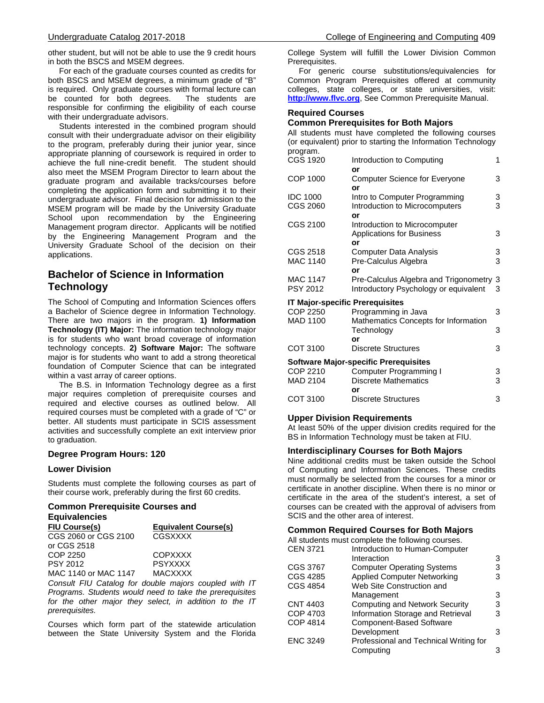other student, but will not be able to use the 9 credit hours in both the BSCS and MSEM degrees.

 For each of the graduate courses counted as credits for both BSCS and MSEM degrees, a minimum grade of "B" is required. Only graduate courses with formal lecture can<br>be counted for both degrees. The students are be counted for both degrees. responsible for confirming the eligibility of each course with their undergraduate advisors.

 Students interested in the combined program should consult with their undergraduate advisor on their eligibility to the program, preferably during their junior year, since appropriate planning of coursework is required in order to achieve the full nine-credit benefit. The student should also meet the MSEM Program Director to learn about the graduate program and available tracks/courses before completing the application form and submitting it to their undergraduate advisor. Final decision for admission to the MSEM program will be made by the University Graduate School upon recommendation by the Engineering Management program director. Applicants will be notified by the Engineering Management Program and the University Graduate School of the decision on their applications.

# **Bachelor of Science in Information Technology**

The School of Computing and Information Sciences offers a Bachelor of Science degree in Information Technology. There are two majors in the program. **1) Information Technology (IT) Major:** The information technology major is for students who want broad coverage of information technology concepts. **2) Software Major:** The software major is for students who want to add a strong theoretical foundation of Computer Science that can be integrated within a vast array of career options.

 The B.S. in Information Technology degree as a first major requires completion of prerequisite courses and required and elective courses as outlined below. All required courses must be completed with a grade of "C" or better. All students must participate in SCIS assessment activities and successfully complete an exit interview prior to graduation.

# **Degree Program Hours: 120**

## **Lower Division**

Students must complete the following courses as part of their course work, preferably during the first 60 credits.

#### **Common Prerequisite Courses and Equivalencies**

| Lyurvalchulca        |                             |  |
|----------------------|-----------------------------|--|
| <b>FIU Course(s)</b> | <b>Equivalent Course(s)</b> |  |
| CGS 2060 or CGS 2100 | CGSXXXX                     |  |
| or CGS 2518          |                             |  |
| COP 2250             | COPXXXX                     |  |
| PSY 2012             | <b>PSYXXXX</b>              |  |
| MAC 1140 or MAC 1147 | <b>MACXXXX</b>              |  |
|                      |                             |  |

*Consult FIU Catalog for double majors coupled with IT Programs. Students would need to take the prerequisites for the other major they select, in addition to the IT prerequisites.*

Courses which form part of the statewide articulation between the State University System and the Florida

College System will fulfill the Lower Division Common Prerequisites.

 For generic course substitutions/equivalencies for Common Program Prerequisites offered at community colleges, state colleges, or state universities, visit: **[http://www.flvc.org](https://www.floridashines.org/partners/common-prerequisite-manual)**, See Common Prerequisite Manual.

# **Required Courses**

# **Common Prerequisites for Both Majors**

All students must have completed the following courses (or equivalent) prior to starting the Information Technology program.

| program.                               |                                              |   |
|----------------------------------------|----------------------------------------------|---|
| CGS 1920                               | Introduction to Computing                    | 1 |
|                                        | or                                           |   |
| COP 1000                               | <b>Computer Science for Everyone</b>         | 3 |
|                                        | or                                           |   |
| <b>IDC 1000</b>                        | Intro to Computer Programming                | 3 |
| CGS 2060                               | Introduction to Microcomputers               | 3 |
|                                        | or                                           |   |
| CGS 2100                               | Introduction to Microcomputer                |   |
|                                        | <b>Applications for Business</b>             | 3 |
|                                        | or                                           |   |
| CGS 2518                               | <b>Computer Data Analysis</b>                | 3 |
| MAC 1140                               | Pre-Calculus Algebra                         | 3 |
|                                        | or                                           |   |
| MAC 1147                               | Pre-Calculus Algebra and Trigonometry        | 3 |
| PSY 2012                               | Introductory Psychology or equivalent        | 3 |
| <b>IT Major-specific Prerequisites</b> |                                              |   |
| COP 2250                               | Programming in Java                          | 3 |
| MAD 1100                               | Mathematics Concepts for Information         |   |
|                                        | Technology                                   | 3 |
|                                        | or                                           |   |
| COT 3100                               | <b>Discrete Structures</b>                   | 3 |
|                                        | <b>Software Major-specific Prerequisites</b> |   |
| COP 2210                               | Computer Programming I                       | 3 |
| MAD 2104                               | <b>Discrete Mathematics</b>                  | 3 |
|                                        | or                                           |   |
| COT 3100                               | <b>Discrete Structures</b>                   | 3 |
|                                        |                                              |   |

## **Upper Division Requirements**

At least 50% of the upper division credits required for the BS in Information Technology must be taken at FIU.

## **Interdisciplinary Courses for Both Majors**

Nine additional credits must be taken outside the School of Computing and Information Sciences. These credits must normally be selected from the courses for a minor or certificate in another discipline. When there is no minor or certificate in the area of the student's interest, a set of courses can be created with the approval of advisers from SCIS and the other area of interest.

## **Common Required Courses for Both Majors**

| Introduction to Human-Computer         |                                                   |
|----------------------------------------|---------------------------------------------------|
| Interaction                            | 3                                                 |
| <b>Computer Operating Systems</b>      | 3                                                 |
| <b>Applied Computer Networking</b>     | 3                                                 |
| Web Site Construction and              |                                                   |
| Management                             | 3                                                 |
| <b>Computing and Network Security</b>  | 3                                                 |
| Information Storage and Retrieval      | 3                                                 |
| <b>Component-Based Software</b>        |                                                   |
| Development                            | 3                                                 |
| Professional and Technical Writing for |                                                   |
| Computing                              | з                                                 |
|                                        | All students must complete the following courses. |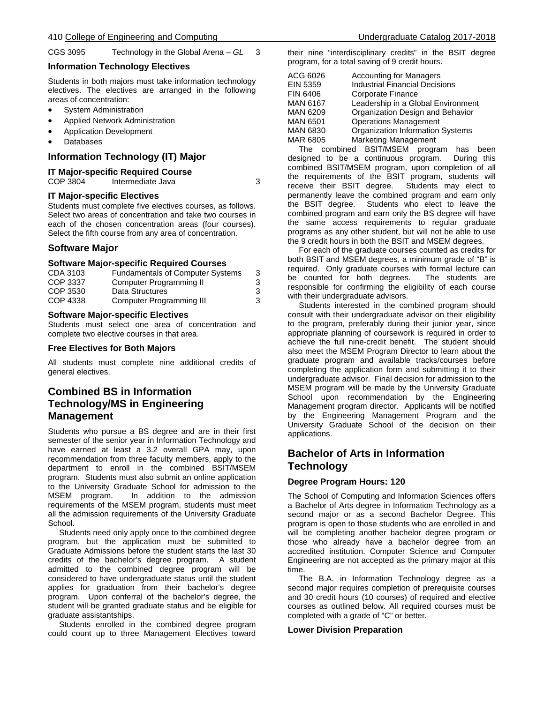CGS 3095 Technology in the Global Arena – *GL* 3

# **Information Technology Electives**

Students in both majors must take information technology electives. The electives are arranged in the following areas of concentration:

- System Administration
- Applied Network Administration
- Application Development
- Databases

# **Information Technology (IT) Major**

# **IT Major-specific Required Course**

Intermediate Java 3

# **IT Major-specific Electives**

Students must complete five electives courses, as follows. Select two areas of concentration and take two courses in each of the chosen concentration areas (four courses). Select the fifth course from any area of concentration.

# **Software Major**

# **Software Major-specific Required Courses**

| CDA 3103 | Fundamentals of Computer Systems | 3 |
|----------|----------------------------------|---|
| COP 3337 | Computer Programming II          | З |
| COP 3530 | Data Structures                  | 3 |
| COP 4338 | Computer Programming III         | 3 |

# **Software Major-specific Electives**

Students must select one area of concentration and complete two elective courses in that area.

# **Free Electives for Both Majors**

All students must complete nine additional credits of general electives.

# **Combined BS in Information Technology/MS in Engineering Management**

Students who pursue a BS degree and are in their first semester of the senior year in Information Technology and have earned at least a 3.2 overall GPA may, upon recommendation from three faculty members, apply to the department to enroll in the combined BSIT/MSEM program. Students must also submit an online application to the University Graduate School for admission to the MSEM program. In addition to the admission requirements of the MSEM program, students must meet all the admission requirements of the University Graduate School.

 Students need only apply once to the combined degree program, but the application must be submitted to Graduate Admissions before the student starts the last 30 credits of the bachelor's degree program. A student admitted to the combined degree program will be considered to have undergraduate status until the student applies for graduation from their bachelor's degree program. Upon conferral of the bachelor's degree, the student will be granted graduate status and be eligible for graduate assistantships.

 Students enrolled in the combined degree program could count up to three Management Electives toward

their nine "interdisciplinary credits" in the BSIT degree program, for a total saving of 9 credit hours.

| ACG 6026 | <b>Accounting for Managers</b>        |
|----------|---------------------------------------|
|          |                                       |
| EIN 5359 | <b>Industrial Financial Decisions</b> |
| FIN 6406 | Corporate Finance                     |
| MAN 6167 | Leadership in a Global Environment    |
| MAN 6209 | Organization Design and Behavior      |
| MAN 6501 | <b>Operations Management</b>          |
| MAN 6830 | Organization Information Systems      |
| MAR 6805 | <b>Marketing Management</b>           |
|          |                                       |

 The combined BSIT/MSEM program has been designed to be a continuous program. During this combined BSIT/MSEM program, upon completion of all the requirements of the BSIT program, students will receive their BSIT degree. Students may elect to permanently leave the combined program and earn only the BSIT degree. Students who elect to leave the combined program and earn only the BS degree will have the same access requirements to regular graduate programs as any other student, but will not be able to use the 9 credit hours in both the BSIT and MSEM degrees.

 For each of the graduate courses counted as credits for both BSIT and MSEM degrees, a minimum grade of "B" is required. Only graduate courses with formal lecture can<br>be counted for both degrees. The students are be counted for both degrees. responsible for confirming the eligibility of each course with their undergraduate advisors.

 Students interested in the combined program should consult with their undergraduate advisor on their eligibility to the program, preferably during their junior year, since appropriate planning of coursework is required in order to achieve the full nine-credit benefit. The student should also meet the MSEM Program Director to learn about the graduate program and available tracks/courses before completing the application form and submitting it to their undergraduate advisor. Final decision for admission to the MSEM program will be made by the University Graduate School upon recommendation by the Engineering Management program director. Applicants will be notified by the Engineering Management Program and the University Graduate School of the decision on their applications.

# **Bachelor of Arts in Information Technology**

# **Degree Program Hours: 120**

The School of Computing and Information Sciences offers a Bachelor of Arts degree in Information Technology as a second major or as a second Bachelor Degree. This program is open to those students who are enrolled in and will be completing another bachelor degree program or those who already have a bachelor degree from an accredited institution. Computer Science and Computer Engineering are not accepted as the primary major at this time.

 The B.A. in Information Technology degree as a second major requires completion of prerequisite courses and 30 credit hours (10 courses) of required and elective courses as outlined below. All required courses must be completed with a grade of "C" or better.

# **Lower Division Preparation**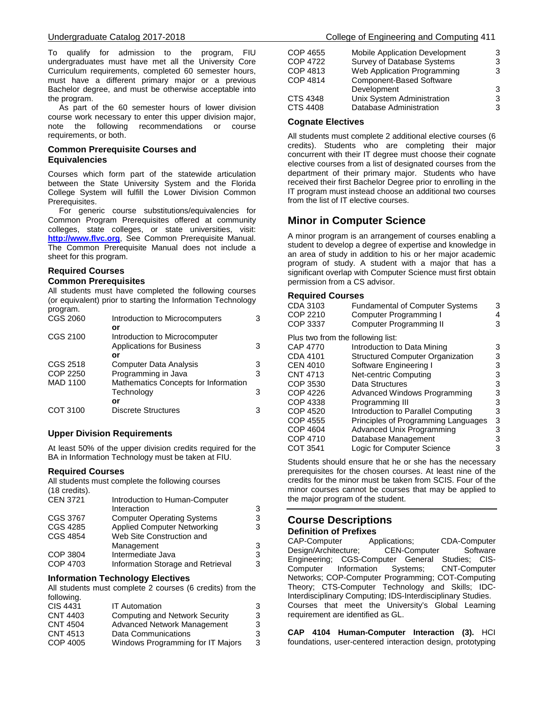To qualify for admission to the program, FIU undergraduates must have met all the University Core Curriculum requirements, completed 60 semester hours, must have a different primary major or a previous Bachelor degree, and must be otherwise acceptable into the program.

 As part of the 60 semester hours of lower division course work necessary to enter this upper division major, note the following recommendations or course requirements, or both.

# **Common Prerequisite Courses and Equivalencies**

Courses which form part of the statewide articulation between the State University System and the Florida College System will fulfill the Lower Division Common Prerequisites.

 For generic course substitutions/equivalencies for Common Program Prerequisites offered at community colleges, state colleges, or state universities, visit: **[http://www.flvc.org](https://www.floridashines.org/partners/common-prerequisite-manual)**, See Common Prerequisite Manual. The Common Prerequisite Manual does not include a sheet for this program.

# **Required Courses**

# **Common Prerequisites**

All students must have completed the following courses (or equivalent) prior to starting the Information Technology program.

| CGS 2060        | Introduction to Microcomputers       | 3 |
|-----------------|--------------------------------------|---|
|                 | or                                   |   |
| CGS 2100        | Introduction to Microcomputer        |   |
|                 | <b>Applications for Business</b>     | 3 |
|                 | or                                   |   |
| CGS 2518        | Computer Data Analysis               | 3 |
| COP 2250        | Programming in Java                  | 3 |
| <b>MAD 1100</b> | Mathematics Concepts for Information |   |
|                 | Technology                           | 3 |
|                 | or                                   |   |
| COT 3100        | <b>Discrete Structures</b>           |   |
|                 |                                      |   |

# **Upper Division Requirements**

At least 50% of the upper division credits required for the BA in Information Technology must be taken at FIU.

# **Required Courses**

All students must complete the following courses (18 credits).

| $110$ creditor. |                                    |   |
|-----------------|------------------------------------|---|
| <b>CEN 3721</b> | Introduction to Human-Computer     |   |
|                 | Interaction                        | 3 |
| CGS 3767        | <b>Computer Operating Systems</b>  | 3 |
| CGS 4285        | <b>Applied Computer Networking</b> | 3 |
| <b>CGS 4854</b> | Web Site Construction and          |   |
|                 | Management                         | 3 |
| COP 3804        | Intermediate Java                  | 3 |
| COP 4703        | Information Storage and Retrieval  | 3 |
|                 |                                    |   |

# **Information Technology Electives**

All students must complete 2 courses (6 credits) from the following.

| 3 |
|---|
| 3 |
| 3 |
| 3 |
| 3 |
|   |

| COP 4655 | <b>Mobile Application Development</b> | 3 |
|----------|---------------------------------------|---|
| COP 4722 | <b>Survey of Database Systems</b>     | з |
| COP 4813 | Web Application Programming           | 3 |
| COP 4814 | <b>Component-Based Software</b>       |   |
|          | Development                           | 3 |
| CTS 4348 | Unix System Administration            | 3 |
| CTS 4408 | Database Administration               | 3 |
|          |                                       |   |

# **Cognate Electives**

All students must complete 2 additional elective courses (6 credits). Students who are completing their major concurrent with their IT degree must choose their cognate elective courses from a list of designated courses from the department of their primary major. Students who have received their first Bachelor Degree prior to enrolling in the IT program must instead choose an additional two courses from the list of IT elective courses.

# **Minor in Computer Science**

A minor program is an arrangement of courses enabling a student to develop a degree of expertise and knowledge in an area of study in addition to his or her major academic program of study. A student with a major that has a significant overlap with Computer Science must first obtain permission from a CS advisor.

# **Required Courses**

| CDA 3103<br>COP 2210<br>COP 3337  | <b>Fundamental of Computer Systems</b><br><b>Computer Programming I</b><br>Computer Programming II | 3<br>4<br>3 |
|-----------------------------------|----------------------------------------------------------------------------------------------------|-------------|
| Plus two from the following list: |                                                                                                    |             |
| CAP 4770                          | Introduction to Data Mining                                                                        | 3           |
| CDA 4101                          | <b>Structured Computer Organization</b>                                                            | 3           |
| <b>CEN 4010</b>                   | Software Engineering I                                                                             | 3           |
| CNT 4713                          | Net-centric Computing                                                                              | 3           |
| COP 3530                          | Data Structures                                                                                    | 3           |
| <b>COP 4226</b>                   | Advanced Windows Programming                                                                       | 3           |
| COP 4338                          | Programming III                                                                                    | 3           |
| <b>COP 4520</b>                   | Introduction to Parallel Computing                                                                 | 3           |
| COP 4555                          | Principles of Programming Languages                                                                | 3           |
| COP 4604                          | Advanced Unix Programming                                                                          | 3           |
| COP 4710                          | Database Management                                                                                | 3           |
| COT 3541                          | Logic for Computer Science                                                                         | 3           |
|                                   |                                                                                                    |             |

Students should ensure that he or she has the necessary prerequisites for the chosen courses. At least nine of the credits for the minor must be taken from SCIS. Four of the minor courses cannot be courses that may be applied to the major program of the student.

# **Course Descriptions**

**Definition of Prefixes**<br>CAP-Computer *Applications*; CDA-Computer Design/Architecture; CEN-Computer Software Engineering; CGS-Computer General Studies; CIS-Computer Information Systems; CNT-Computer Networks; COP-Computer Programming; COT-Computing Theory; CTS-Computer Technology and Skills; IDC-Interdisciplinary Computing; IDS-Interdisciplinary Studies. Courses that meet the University's Global Learning requirement are identified as GL.

**CAP 4104 Human-Computer Interaction (3).** HCI foundations, user-centered interaction design, prototyping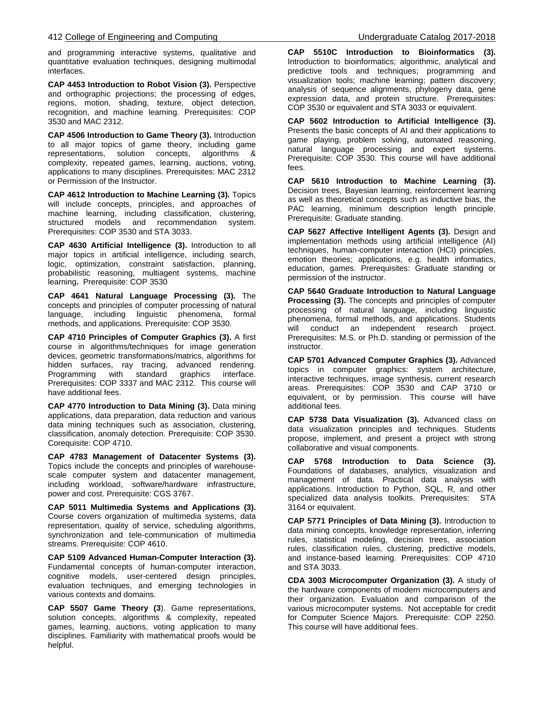and programming interactive systems, qualitative and quantitative evaluation techniques, designing multimodal interfaces.

**CAP 4453 Introduction to Robot Vision (3).** Perspective and orthographic projections; the processing of edges, regions, motion, shading, texture, object detection, recognition, and machine learning. Prerequisites: COP 3530 and MAC 2312.

**CAP 4506 Introduction to Game Theory (3).** Introduction to all major topics of game theory, including game representations, solution concepts, algorithms & complexity, repeated games, learning, auctions, voting, applications to many disciplines. Prerequisites: MAC 2312 or Permission of the Instructor.

**CAP 4612 Introduction to Machine Learning (3).** Topics will include concepts, principles, and approaches of machine learning, including classification, clustering, structured models and recommendation system. Prerequisites: COP 3530 and STA 3033.

**CAP 4630 Artificial Intelligence (3).** Introduction to all major topics in artificial intelligence, including search, logic, optimization, constraint satisfaction, planning, probabilistic reasoning, multiagent systems, machine learning**.** Prerequisite: COP 3530

**CAP 4641 Natural Language Processing (3).** The concepts and principles of computer processing of natural language, including linguistic phenomena, formal methods, and applications. Prerequisite: COP 3530.

**CAP 4710 Principles of Computer Graphics (3).** A first course in algorithms/techniques for image generation devices, geometric transformations/matrics, algorithms for hidden surfaces, ray tracing, advanced rendering. Programming with standard graphics interface. Prerequisites: COP 3337 and MAC 2312. This course will have additional fees.

**CAP 4770 Introduction to Data Mining (3).** Data mining applications, data preparation, data reduction and various data mining techniques such as association, clustering, classification, anomaly detection. Prerequisite: COP 3530. Corequisite: COP 4710.

**CAP 4783 Management of Datacenter Systems (3).** Topics include the concepts and principles of warehousescale computer system and datacenter management, including workload, software/hardware infrastructure, power and cost. Prerequisite: CGS 3767.

**CAP 5011 Multimedia Systems and Applications (3).** Course covers organization of multimedia systems, data representation, quality of service, scheduling algorithms, synchronization and tele-communication of multimedia streams. Prerequisite: COP 4610.

**CAP 5109 Advanced Human-Computer Interaction (3).** Fundamental concepts of human-computer interaction, cognitive models, user-centered design principles, evaluation techniques, and emerging technologies in various contexts and domains.

**CAP 5507 Game Theory (3**). Game representations, solution concepts, algorithms & complexity, repeated games, learning, auctions, voting application to many disciplines. Familiarity with mathematical proofs would be helpful.

**CAP 5510C Introduction to Bioinformatics (3).** Introduction to bioinformatics; algorithmic, analytical and predictive tools and techniques; programming and visualization tools; machine learning; pattern discovery; analysis of sequence alignments, phylogeny data, gene expression data, and protein structure. Prerequisites: COP 3530 or equivalent and STA 3033 or equivalent.

**CAP 5602 Introduction to Artificial Intelligence (3).**  Presents the basic concepts of AI and their applications to game playing, problem solving, automated reasoning, natural language processing and expert systems. Prerequisite: COP 3530. This course will have additional fees.

**CAP 5610 Introduction to Machine Learning (3).**  Decision trees, Bayesian learning, reinforcement learning as well as theoretical concepts such as inductive bias, the PAC learning, minimum description length principle. Prerequisite: Graduate standing.

**CAP 5627 Affective Intelligent Agents (3).** Design and implementation methods using artificial intelligence (AI) techniques, human-computer interaction (HCI) principles, emotion theories; applications, e.g. health informatics, education, games. Prerequisites: Graduate standing or permission of the instructor.

**CAP 5640 Graduate Introduction to Natural Language Processing (3).** The concepts and principles of computer processing of natural language, including linguistic phenomena, formal methods, and applications. Students will conduct an independent research project. Prerequisites: M.S. or Ph.D. standing or permission of the instructor.

**CAP 5701 Advanced Computer Graphics (3).** Advanced topics in computer graphics: system architecture, interactive techniques, image synthesis, current research areas. Prerequisites: COP 3530 and CAP 3710 or equivalent, or by permission. This course will have additional fees.

**CAP 5738 Data Visualization (3).** Advanced class on data visualization principles and techniques. Students propose, implement, and present a project with strong collaborative and visual components.

**CAP 5768 Introduction to Data Science (3).** Foundations of databases, analytics, visualization and management of data. Practical data analysis with applications. Introduction to Python, SQL, R, and other specialized data analysis toolkits. Prerequisites: STA 3164 or equivalent.

**CAP 5771 Principles of Data Mining (3).** Introduction to data mining concepts, knowledge representation, inferring rules, statistical modeling, decision trees, association rules, classification rules, clustering, predictive models, and instance-based learning. Prerequisites: COP 4710 and STA 3033.

**CDA 3003 Microcomputer Organization (3).** A study of the hardware components of modern microcomputers and their organization. Evaluation and comparison of the various microcomputer systems. Not acceptable for credit for Computer Science Majors. Prerequisite: COP 2250. This course will have additional fees.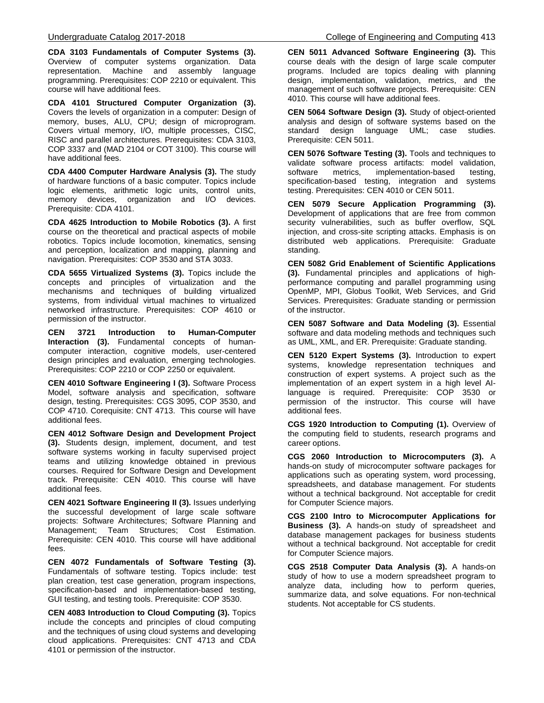**CDA 3103 Fundamentals of Computer Systems (3).** Overview of computer systems organization. Data representation. Machine and assembly language programming. Prerequisites: COP 2210 or equivalent. This course will have additional fees.

**CDA 4101 Structured Computer Organization (3).**  Covers the levels of organization in a computer: Design of memory, buses, ALU, CPU; design of microprogram. Covers virtual memory, I/O, multiple processes, CISC, RISC and parallel architectures. Prerequisites: CDA 3103, COP 3337 and (MAD 2104 or COT 3100). This course will have additional fees.

**CDA 4400 Computer Hardware Analysis (3).** The study of hardware functions of a basic computer. Topics include logic elements, arithmetic logic units, control units, memory devices, organization and I/O devices. Prerequisite: CDA 4101.

**CDA 4625 Introduction to Mobile Robotics (3).** A first course on the theoretical and practical aspects of mobile robotics. Topics include locomotion, kinematics, sensing and perception, localization and mapping, planning and navigation. Prerequisites: COP 3530 and STA 3033.

**CDA 5655 Virtualized Systems (3).** Topics include the concepts and principles of virtualization and the mechanisms and techniques of building virtualized systems, from individual virtual machines to virtualized networked infrastructure. Prerequisites: COP 4610 or permission of the instructor.

**CEN 3721 Introduction to Human-Computer Interaction (3).** Fundamental concepts of humancomputer interaction, cognitive models, user-centered design principles and evaluation, emerging technologies. Prerequisites: COP 2210 or COP 2250 or equivalent.

**CEN 4010 Software Engineering I (3).** Software Process Model, software analysis and specification, software design, testing. Prerequisites: CGS 3095, COP 3530, and COP 4710. Corequisite: CNT 4713. This course will have additional fees.

**CEN 4012 Software Design and Development Project (3).** Students design, implement, document, and test software systems working in faculty supervised project teams and utilizing knowledge obtained in previous courses. Required for Software Design and Development track. Prerequisite: CEN 4010. This course will have additional fees.

**CEN 4021 Software Engineering II (3).** Issues underlying the successful development of large scale software projects: Software Architectures; Software Planning and Management; Team Structures; Cost Estimation. Prerequisite: CEN 4010. This course will have additional fees.

**CEN 4072 Fundamentals of Software Testing (3).** Fundamentals of software testing. Topics include: test plan creation, test case generation, program inspections, specification-based and implementation-based testing, GUI testing, and testing tools. Prerequisite: COP 3530.

**CEN 4083 Introduction to Cloud Computing (3).** Topics include the concepts and principles of cloud computing and the techniques of using cloud systems and developing cloud applications. Prerequisites: CNT 4713 and CDA 4101 or permission of the instructor.

**CEN 5011 Advanced Software Engineering (3).** This course deals with the design of large scale computer programs. Included are topics dealing with planning design, implementation, validation, metrics, and the management of such software projects. Prerequisite: CEN 4010. This course will have additional fees.

**CEN 5064 Software Design (3).** Study of object-oriented analysis and design of software systems based on the standard design language UML; case studies. Prerequisite: CEN 5011.

**CEN 5076 Software Testing (3).** Tools and techniques to validate software process artifacts: model validation,<br>software metrics, implementation-based testing, software metrics, implementation-based testing, specification-based testing, integration and systems testing. Prerequisites: CEN 4010 or CEN 5011.

**CEN 5079 Secure Application Programming (3).** Development of applications that are free from common security vulnerabilities, such as buffer overflow, SQL injection, and cross-site scripting attacks. Emphasis is on distributed web applications. Prerequisite: Graduate standing.

**CEN 5082 Grid Enablement of Scientific Applications (3).** Fundamental principles and applications of highperformance computing and parallel programming using OpenMP, MPI, Globus Toolkit, Web Services, and Grid Services. Prerequisites: Graduate standing or permission of the instructor.

**CEN 5087 Software and Data Modeling (3).** Essential software and data modeling methods and techniques such as UML, XML, and ER. Prerequisite: Graduate standing.

**CEN 5120 Expert Systems (3).** Introduction to expert systems, knowledge representation techniques and construction of expert systems. A project such as the implementation of an expert system in a high level AIlanguage is required. Prerequisite: COP 3530 or permission of the instructor. This course will have additional fees.

**CGS 1920 Introduction to Computing (1).** Overview of the computing field to students, research programs and career options.

**CGS 2060 Introduction to Microcomputers (3).** A hands-on study of microcomputer software packages for applications such as operating system, word processing, spreadsheets, and database management. For students without a technical background. Not acceptable for credit for Computer Science majors.

**CGS 2100 Intro to Microcomputer Applications for Business (3).** A hands-on study of spreadsheet and database management packages for business students without a technical background. Not acceptable for credit for Computer Science majors.

**CGS 2518 Computer Data Analysis (3).** A hands-on study of how to use a modern spreadsheet program to analyze data, including how to perform queries, summarize data, and solve equations. For non-technical students. Not acceptable for CS students.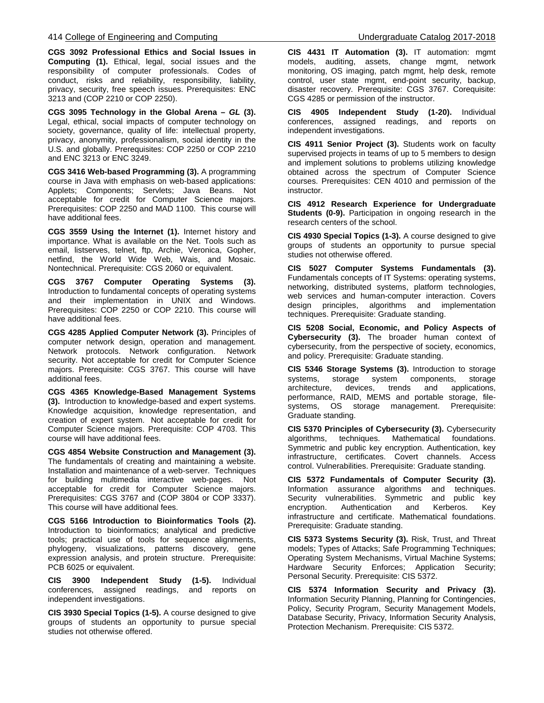**CGS 3092 Professional Ethics and Social Issues in Computing (1).** Ethical, legal, social issues and the responsibility of computer professionals. Codes of conduct, risks and reliability, responsibility, liability, privacy, security, free speech issues. Prerequisites: ENC 3213 and (COP 2210 or COP 2250).

**CGS 3095 Technology in the Global Arena –** *GL* **(3).** Legal, ethical, social impacts of computer technology on society, governance, quality of life: intellectual property, privacy, anonymity, professionalism, social identity in the U.S. and globally. Prerequisites: COP 2250 or COP 2210 and ENC 3213 or ENC 3249.

**CGS 3416 Web-based Programming (3).** A programming course in Java with emphasis on web-based applications: Applets; Components; Servlets; Java Beans. Not acceptable for credit for Computer Science majors. Prerequisites: COP 2250 and MAD 1100. This course will have additional fees.

**CGS 3559 Using the Internet (1).** Internet history and importance. What is available on the Net. Tools such as email, listserves, telnet, ftp, Archie, Veronica, Gopher, netfind, the World Wide Web, Wais, and Mosaic. Nontechnical. Prerequisite: CGS 2060 or equivalent.

**CGS 3767 Computer Operating Systems (3).** Introduction to fundamental concepts of operating systems and their implementation in UNIX and Windows. Prerequisites: COP 2250 or COP 2210. This course will have additional fees.

**CGS 4285 Applied Computer Network (3).** Principles of computer network design, operation and management. Network protocols. Network configuration. Network security. Not acceptable for credit for Computer Science majors. Prerequisite: CGS 3767. This course will have additional fees.

**CGS 4365 Knowledge-Based Management Systems (3).** Introduction to knowledge-based and expert systems. Knowledge acquisition, knowledge representation, and creation of expert system. Not acceptable for credit for Computer Science majors. Prerequisite: COP 4703. This course will have additional fees.

**CGS 4854 Website Construction and Management (3).**  The fundamentals of creating and maintaining a website. Installation and maintenance of a web-server. Techniques for building multimedia interactive web-pages. Not acceptable for credit for Computer Science majors. Prerequisites: CGS 3767 and (COP 3804 or COP 3337). This course will have additional fees.

**CGS 5166 Introduction to Bioinformatics Tools (2).**  Introduction to bioinformatics; analytical and predictive tools; practical use of tools for sequence alignments, phylogeny, visualizations, patterns discovery, gene expression analysis, and protein structure. Prerequisite: PCB 6025 or equivalent.

**CIS 3900 Independent Study (1-5).** Individual conferences, assigned readings, and reports on independent investigations.

**CIS 3930 Special Topics (1-5).** A course designed to give groups of students an opportunity to pursue special studies not otherwise offered.

**CIS 4431 IT Automation (3).** IT automation: mgmt models, auditing, assets, change mgmt, network monitoring, OS imaging, patch mgmt, help desk, remote control, user state mgmt, end-point security, backup, disaster recovery. Prerequisite: CGS 3767. Corequisite: CGS 4285 or permission of the instructor.

**CIS 4905 Independent Study (1-20).** Individual conferences, assigned readings, and reports on independent investigations.

**CIS 4911 Senior Project (3).** Students work on faculty supervised projects in teams of up to 5 members to design and implement solutions to problems utilizing knowledge obtained across the spectrum of Computer Science courses. Prerequisites: CEN 4010 and permission of the instructor.

**CIS 4912 Research Experience for Undergraduate Students (0-9).** Participation in ongoing research in the research centers of the school.

**CIS 4930 Special Topics (1-3).** A course designed to give groups of students an opportunity to pursue special studies not otherwise offered.

**CIS 5027 Computer Systems Fundamentals (3).** Fundamentals concepts of IT Systems: operating systems, networking, distributed systems, platform technologies, web services and human-computer interaction. Covers design principles, algorithms and implementation techniques. Prerequisite: Graduate standing.

**CIS 5208 Social, Economic, and Policy Aspects of Cybersecurity (3).** The broader human context of cybersecurity, from the perspective of society, economics, and policy. Prerequisite: Graduate standing.

**CIS 5346 Storage Systems (3).** Introduction to storage systems, storage system components, storage<br>architecture, devices, trends and applications, architecture, devices, trends and applications, performance, RAID, MEMS and portable storage, file-<br>systems, OS storage management. Prereguisite: systems, OS storage management. Graduate standing.

**CIS 5370 Principles of Cybersecurity (3).** Cybersecurity algorithms, techniques. Mathematical foundations. Symmetric and public key encryption. Authentication, key infrastructure, certificates. Covert channels. Access control. Vulnerabilities. Prerequisite: Graduate standing.

**CIS 5372 Fundamentals of Computer Security (3).** Information assurance algorithms and techniques. Security vulnerabilities. Symmetric and public key<br>encryption. Authentication and Kerberos. Key encryption. Authentication and Kerberos. Key infrastructure and certificate. Mathematical foundations. Prerequisite: Graduate standing.

**CIS 5373 Systems Security (3).** Risk, Trust, and Threat models; Types of Attacks; Safe Programming Techniques; Operating System Mechanisms, Virtual Machine Systems; Hardware Security Enforces; Application Security; Personal Security. Prerequisite: CIS 5372.

**CIS 5374 Information Security and Privacy (3).** Information Security Planning, Planning for Contingencies, Policy, Security Program, Security Management Models, Database Security, Privacy, Information Security Analysis, Protection Mechanism. Prerequisite: CIS 5372.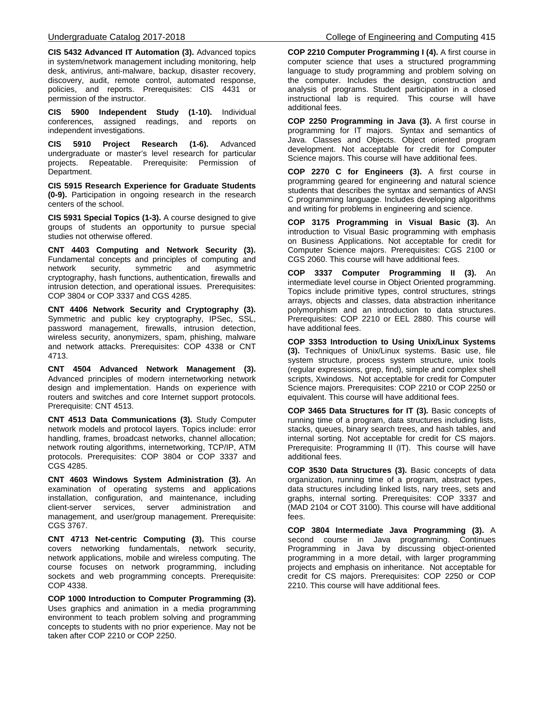**CIS 5432 Advanced IT Automation (3).** Advanced topics in system/network management including monitoring, help desk, antivirus, anti-malware, backup, disaster recovery, discovery, audit, remote control, automated response, policies, and reports. Prerequisites: CIS 4431 or permission of the instructor.

**CIS 5900 Independent Study (1-10).** Individual conferences, assigned readings, and reports on independent investigations.

**CIS 5910 Project Research (1-6).** Advanced undergraduate or master's level research for particular projects. Repeatable. Prerequisite: Permission of Department.

**CIS 5915 Research Experience for Graduate Students (0-9).** Participation in ongoing research in the research centers of the school.

**CIS 5931 Special Topics (1-3).** A course designed to give groups of students an opportunity to pursue special studies not otherwise offered.

**CNT 4403 Computing and Network Security (3).** Fundamental concepts and principles of computing and network security, symmetric and asymmetric cryptography, hash functions, authentication, firewalls and intrusion detection, and operational issues. Prerequisites: COP 3804 or COP 3337 and CGS 4285.

**CNT 4406 Network Security and Cryptography (3).** Symmetric and public key cryptography, IPSec, SSL, password management, firewalls, intrusion detection, wireless security, anonymizers, spam, phishing, malware and network attacks. Prerequisites: COP 4338 or CNT 4713.

**CNT 4504 Advanced Network Management (3).** Advanced principles of modern internetworking network design and implementation. Hands on experience with routers and switches and core Internet support protocols. Prerequisite: CNT 4513.

**CNT 4513 Data Communications (3).** Study Computer network models and protocol layers. Topics include: error handling, frames, broadcast networks, channel allocation; network routing algorithms, internetworking, TCP/IP, ATM protocols. Prerequisites: COP 3804 or COP 3337 and CGS 4285.

**CNT 4603 Windows System Administration (3).** An examination of operating systems and applications installation, configuration, and maintenance, including client-server services, server administration and management, and user/group management. Prerequisite: CGS 3767.

**CNT 4713 Net-centric Computing (3).** This course covers networking fundamentals, network security, network applications, mobile and wireless computing. The course focuses on network programming, including sockets and web programming concepts. Prerequisite: COP 4338.

**COP 1000 Introduction to Computer Programming (3).** Uses graphics and animation in a media programming environment to teach problem solving and programming concepts to students with no prior experience. May not be taken after COP 2210 or COP 2250.

**COP 2210 Computer Programming I (4).** A first course in computer science that uses a structured programming language to study programming and problem solving on the computer. Includes the design, construction and analysis of programs. Student participation in a closed instructional lab is required. This course will have additional fees.

**COP 2250 Programming in Java (3).** A first course in programming for IT majors. Syntax and semantics of Java. Classes and Objects. Object oriented program development. Not acceptable for credit for Computer Science majors. This course will have additional fees.

**COP 2270 C for Engineers (3).** A first course in programming geared for engineering and natural science students that describes the syntax and semantics of ANSI C programming language. Includes developing algorithms and writing for problems in engineering and science.

**COP 3175 Programming in Visual Basic (3).** An introduction to Visual Basic programming with emphasis on Business Applications. Not acceptable for credit for Computer Science majors. Prerequisites: CGS 2100 or CGS 2060. This course will have additional fees.

**COP 3337 Computer Programming II (3).** An intermediate level course in Object Oriented programming. Topics include primitive types, control structures, strings arrays, objects and classes, data abstraction inheritance polymorphism and an introduction to data structures. Prerequisites: COP 2210 or EEL 2880. This course will have additional fees.

**COP 3353 Introduction to Using Unix/Linux Systems (3).** Techniques of Unix/Linux systems. Basic use, file system structure, process system structure, unix tools (regular expressions, grep, find), simple and complex shell scripts, Xwindows. Not acceptable for credit for Computer Science majors. Prerequisites: COP 2210 or COP 2250 or equivalent. This course will have additional fees.

**COP 3465 Data Structures for IT (3).** Basic concepts of running time of a program, data structures including lists, stacks, queues, binary search trees, and hash tables, and internal sorting. Not acceptable for credit for CS majors. Prerequisite: Programming II (IT). This course will have additional fees.

**COP 3530 Data Structures (3).** Basic concepts of data organization, running time of a program, abstract types, data structures including linked lists, nary trees, sets and graphs, internal sorting. Prerequisites: COP 3337 and (MAD 2104 or COT 3100). This course will have additional fees.

**COP 3804 Intermediate Java Programming (3).** A second course in Java programming. Continues Programming in Java by discussing object-oriented programming in a more detail, with larger programming projects and emphasis on inheritance. Not acceptable for credit for CS majors. Prerequisites: COP 2250 or COP 2210. This course will have additional fees.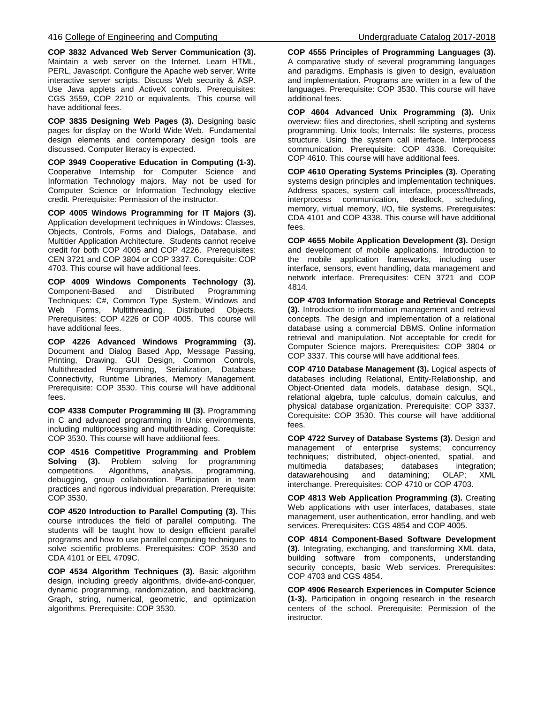**COP 3832 Advanced Web Server Communication (3).** Maintain a web server on the Internet. Learn HTML, PERL, Javascript. Configure the Apache web server. Write interactive server scripts. Discuss Web security & ASP. Use Java applets and ActiveX controls. Prerequisites: CGS 3559, COP 2210 or equivalents. This course will have additional fees.

**COP 3835 Designing Web Pages (3).** Designing basic pages for display on the World Wide Web. Fundamental design elements and contemporary design tools are discussed. Computer literacy is expected.

**COP 3949 Cooperative Education in Computing (1-3).** Cooperative Internship for Computer Science and Information Technology majors. May not be used for Computer Science or Information Technology elective credit. Prerequisite: Permission of the instructor.

**COP 4005 Windows Programming for IT Majors (3).** Application development techniques in Windows: Classes, Objects, Controls, Forms and Dialogs, Database, and Multitier Application Architecture. Students cannot receive credit for both COP 4005 and COP 4226. Prerequisites: CEN 3721 and COP 3804 or COP 3337. Corequisite: COP 4703. This course will have additional fees.

**COP 4009 Windows Components Technology (3).** Component-Based Techniques: C#, Common Type System, Windows and Web Forms, Multithreading, Distributed Objects. Prerequisites: COP 4226 or COP 4005. This course will have additional fees.

**COP 4226 Advanced Windows Programming (3).** Document and Dialog Based App, Message Passing, Printing, Drawing, GUI Design, Common Controls, Multithreaded Programming, Serialization, Database Connectivity, Runtime Libraries, Memory Management. Prerequisite: COP 3530. This course will have additional fees.

**COP 4338 Computer Programming III (3).** Programming in C and advanced programming in Unix environments, including multiprocessing and multithreading. Corequisite: COP 3530. This course will have additional fees.

**COP 4516 Competitive Programming and Problem Solving (3).** Problem solving for programming competitions. Algorithms, analysis, programming, debugging, group collaboration. Participation in team practices and rigorous individual preparation. Prerequisite: COP 3530.

**COP 4520 Introduction to Parallel Computing (3).** This course introduces the field of parallel computing. The students will be taught how to design efficient parallel programs and how to use parallel computing techniques to solve scientific problems. Prerequisites: COP 3530 and CDA 4101 or EEL 4709C.

**COP 4534 Algorithm Techniques (3).** Basic algorithm design, including greedy algorithms, divide-and-conquer, dynamic programming, randomization, and backtracking. Graph, string, numerical, geometric, and optimization algorithms. Prerequisite: COP 3530.

**COP 4555 Principles of Programming Languages (3).** A comparative study of several programming languages and paradigms. Emphasis is given to design, evaluation and implementation. Programs are written in a few of the languages. Prerequisite: COP 3530. This course will have additional fees.

**COP 4604 Advanced Unix Programming (3).** Unix overview: files and directories, shell scripting and systems programming. Unix tools; Internals: file systems, process structure. Using the system call interface. Interprocess communication. Prerequisite: COP 4338. Corequisite: COP 4610. This course will have additional fees.

**COP 4610 Operating Systems Principles (3).** Operating systems design principles and implementation techniques. Address spaces, system call interface, process/threads, interprocess communication, deadlock, memory, virtual memory, I/O, file systems. Prerequisites: CDA 4101 and COP 4338. This course will have additional fees.

**COP 4655 Mobile Application Development (3).** Design and development of mobile applications. Introduction to the mobile application frameworks, including user interface, sensors, event handling, data management and network interface. Prerequisites: CEN 3721 and COP 4814.

**COP 4703 Information Storage and Retrieval Concepts (3).** Introduction to information management and retrieval concepts. The design and implementation of a relational database using a commercial DBMS. Online information retrieval and manipulation. Not acceptable for credit for Computer Science majors. Prerequisites: COP 3804 or COP 3337. This course will have additional fees.

**COP 4710 Database Management (3).** Logical aspects of databases including Relational, Entity-Relationship, and Object-Oriented data models, database design, SQL, relational algebra, tuple calculus, domain calculus, and physical database organization. Prerequisite: COP 3337. Corequisite: COP 3530. This course will have additional fees.

**COP 4722 Survey of Database Systems (3).** Design and management of enterprise systems; concurrency techniques; distributed, object-oriented, spatial, and multimedia databases; databases integration; datawarehousing and datamining; OLAP; XML interchange. Prerequisites: COP 4710 or COP 4703.

**COP 4813 Web Application Programming (3).** Creating Web applications with user interfaces, databases, state management, user authentication, error handling, and web services. Prerequisites: CGS 4854 and COP 4005.

**COP 4814 Component-Based Software Development (3).** Integrating, exchanging, and transforming XML data, building software from components, understanding security concepts, basic Web services. Prerequisites: COP 4703 and CGS 4854.

**COP 4906 Research Experiences in Computer Science (1-3).** Participation in ongoing research in the research centers of the school. Prerequisite: Permission of the instructor.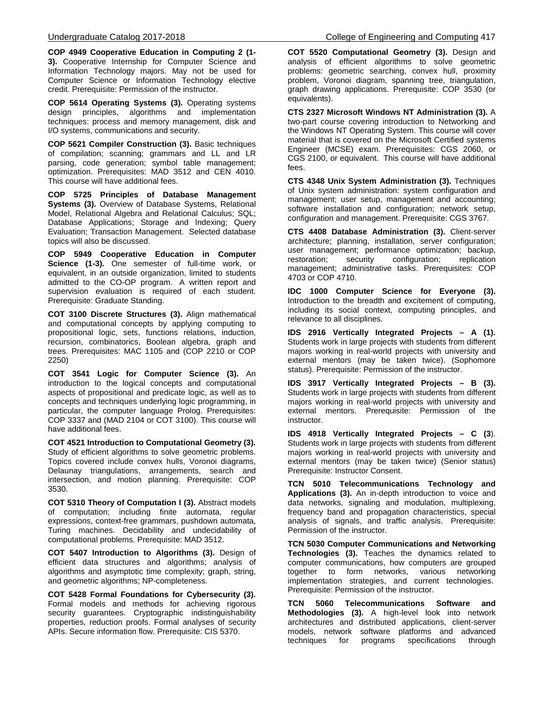**COP 4949 Cooperative Education in Computing 2 (1- 3).** Cooperative Internship for Computer Science and Information Technology majors. May not be used for Computer Science or Information Technology elective credit. Prerequisite: Permission of the instructor.

**COP 5614 Operating Systems (3).** Operating systems design principles, algorithms and implementation techniques: process and memory management, disk and I/O systems, communications and security.

**COP 5621 Compiler Construction (3).** Basic techniques of compilation; scanning; grammars and LL and LR parsing, code generation; symbol table management; optimization. Prerequisites: MAD 3512 and CEN 4010. This course will have additional fees.

**COP 5725 Principles of Database Management Systems (3).** Overview of Database Systems, Relational Model, Relational Algebra and Relational Calculus; SQL; Database Applications; Storage and Indexing; Query Evaluation; Transaction Management. Selected database topics will also be discussed.

**COP 5949 Cooperative Education in Computer Science (1-3).** One semester of full-time work, or equivalent, in an outside organization, limited to students admitted to the CO-OP program. A written report and supervision evaluation is required of each student. Prerequisite: Graduate Standing.

**COT 3100 Discrete Structures (3).** Align mathematical and computational concepts by applying computing to propositional logic, sets, functions relations, induction, recursion, combinatorics, Boolean algebra, graph and trees. Prerequisites: MAC 1105 and (COP 2210 or COP 2250)

**COT 3541 Logic for Computer Science (3).** An introduction to the logical concepts and computational aspects of propositional and predicate logic, as well as to concepts and techniques underlying logic programming, in particular, the computer language Prolog. Prerequisites: COP 3337 and (MAD 2104 or COT 3100). This course will have additional fees.

**COT 4521 Introduction to Computational Geometry (3).** Study of efficient algorithms to solve geometric problems. Topics covered include convex hulls, Voronoi diagrams, Delaunay triangulations, arrangements, search and intersection, and motion planning. Prerequisite: COP 3530.

**COT 5310 Theory of Computation I (3).** Abstract models of computation; including finite automata, regular expressions, context-free grammars, pushdown automata, Turing machines. Decidability and undecidability of computational problems. Prerequisite: MAD 3512.

**COT 5407 Introduction to Algorithms (3).** Design of efficient data structures and algorithms; analysis of algorithms and asymptotic time complexity; graph, string, and geometric algorithms; NP-completeness.

**COT 5428 Formal Foundations for Cybersecurity (3).** Formal models and methods for achieving rigorous security guarantees. Cryptographic indistinguishability properties, reduction proofs. Formal analyses of security APIs. Secure information flow. Prerequisite: CIS 5370.

**COT 5520 Computational Geometry (3).** Design and analysis of efficient algorithms to solve geometric problems: geometric searching, convex hull, proximity problem, Voronoi diagram, spanning tree, triangulation, graph drawing applications. Prerequisite: COP 3530 (or equivalents).

**CTS 2327 Microsoft Windows NT Administration (3).** A two-part course covering introduction to Networking and the Windows NT Operating System. This course will cover material that is covered on the Microsoft Certified systems Engineer (MCSE) exam. Prerequisites: CGS 2060, or CGS 2100, or equivalent. This course will have additional fees.

**CTS 4348 Unix System Administration (3).** Techniques of Unix system administration: system configuration and management; user setup, management and accounting; software installation and configuration; network setup, configuration and management. Prerequisite: CGS 3767.

**CTS 4408 Database Administration (3).** Client-server architecture; planning, installation, server configuration; user management; performance optimization; backup, restoration; security configuration; replication management; administrative tasks. Prerequisites: COP 4703 or COP 4710.

**IDC 1000 Computer Science for Everyone (3).** Introduction to the breadth and excitement of computing, including its social context, computing principles, and relevance to all disciplines.

**IDS 2916 Vertically Integrated Projects – A (1).** Students work in large projects with students from different majors working in real-world projects with university and external mentors (may be taken twice). (Sophomore status). Prerequisite: Permission of the instructor.

**IDS 3917 Vertically Integrated Projects – B (3).** Students work in large projects with students from different majors working in real-world projects with university and external mentors. Prerequisite: Permission of the instructor.

**IDS 4918 Vertically Integrated Projects – C (3**). Students work in large projects with students from different majors working in real-world projects with university and external mentors (may be taken twice) (Senior status) Prerequisite: Instructor Consent.

**TCN 5010 Telecommunications Technology and Applications (3).** An in-depth introduction to voice and data networks, signaling and modulation, multiplexing, frequency band and propagation characteristics, special analysis of signals, and traffic analysis. Prerequisite: Permission of the instructor.

**TCN 5030 Computer Communications and Networking Technologies (3).** Teaches the dynamics related to computer communications, how computers are grouped together to form networks, various networking implementation strategies, and current technologies. Prerequisite: Permission of the instructor.

**TCN 5060 Telecommunications Software and Methodologies (3).** A high-level look into network architectures and distributed applications, client-server models, network software platforms and advanced<br>techniques for programs specifications through techniques for programs specifications through